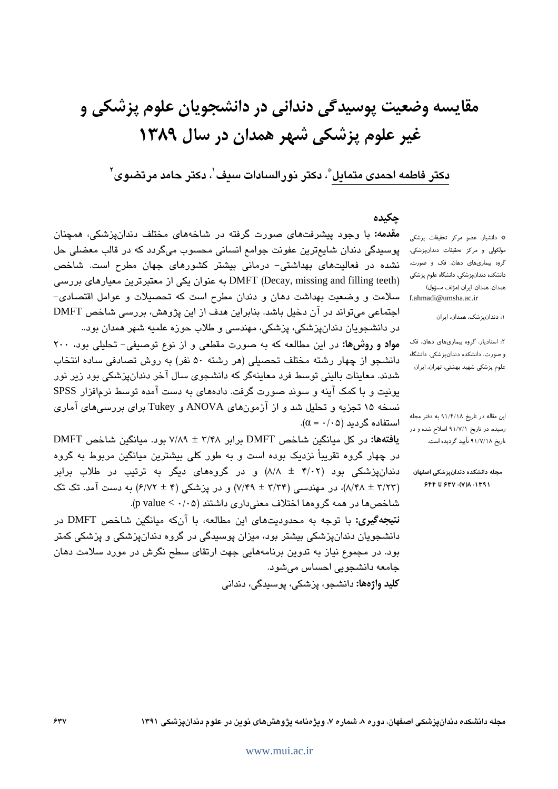# دكتر فاطمه احمدي متمايل ٌّ، دكتر نورالسادات سيف'، دكتر حامد مرتضوي'َ

### جكيده

مقدمه: با وجود پیشرفتهای صورت گرفته در شاخههای مختلف دندانپزشکی، همچنان پوسیدگی دندان شایعترین عفونت جوامع انسانی محسوب میگردد که در قالب معضلی حل نشده در فعالیتهای بهداشتی- درمانی بیشتر کشورهای جهان مطرح است. شاخص (DMFT (Decay, missing and filling teeth به عنوان یکی از معتبرترین معیارهای بررسی سلامت و وضعیت بهداشت دهان و دندان مطرح است که تحصیلات و عوامل اقتصادی-اجتماعی می تواند در آن دخیل باشد. بنابراین هدف از این پژوهش، بررسی شاخص DMFT در دانشجویان دندانپزشکی، پزشکی، مهندسی و طلاب حوزه علمیه شهر همدان بود..

مواد و روشها: در این مطالعه که به صورت مقطعی و از نوع توصیفی- تحلیلی بود، ٢٠٠ دانشجو از چهار رشته مختلف تحصیلی (هر رشته ۵۰ نفر) به روش تصادفی ساده انتخاب شدند. معاینات بالینی توسط فرد معاینهگر که دانشجوی سال آخر دندان،پزشکی بود زیر نور یونیت و با کمک آینه و سوند صورت گرفت. دادههای به دست آمده توسط نرمافزار SPSS نسخه ۱۵ تجزیه و تحلیل شد و از آزمونهای ANOVA و Tukey برای بررسیهای آماری  $(\alpha - \cdot \wedge \alpha)$ استفاده گر دىد

يافتهها: در كل مبانكين شاخص DMFT براير ۳/۴۸ ± ۷/۸۹ بود. مبانكين شاخص DMFT در چهار گروه تقریباً نزدیک بوده است و به طور کلی بیشترین میانگین مربوط به گروه دندانپزشکی بود (۴/۰۲ ± ۸/۸) و در گروههای دیگر به ترتیب در طلاب برابر (٨/٢٨ ± ٨/٢٨)، در مهندسی (٣/٣۴ ± ٧/٢٩) و در پزشکی (۴ ± ۶/٧٢) به دست آمد. تک تک شاخصها در همه گروهها اختلاف معنىدارى داشتند (p value <  $\cdot$ /۰۵).

**نتيجهگيري:** با توجه به محدوديتهاي اين مطالعه، با آنكه ميانگين شاخص DMFT در دانشجویان دندانپزشکی بیشتر بود، میزان پوسیدگی در گروه دندانپزشکی و پزشکی کمتر بود. در مجموع نیاز به تدوین برنامههایی جهت ارتقای سطح نگرش در مورد سلامت دهان جامعه دانشجويي احساس مي شود.

<mark>کلید واژهها:</mark> دانشجو، پزشکی، پوسندگی، دندانی

\* دانشیار، عضو مرکز تحقیقات پزشکی مولکولی و مرکز تحقیقات دندانپزشکی، گروه بیماریهای دهان، فک و صورت، دانشکده دندانپزشکی، دانشگاه علوم پزشکی همدان، همدان، ایران (مؤلف مسؤول) f.ahmadi@umsha.ac.ir

۱: دندانپزشک، همدان، ایران

٢: استادیار، گروه بیماریهای دهان، فک و صورت، دانشکده دندانپزشکی، دانشگاه علوم پزشکی شهید بهشتی، تهران، ایران

این مقاله در تاریخ ۹۱/۴/۱۸ به دفتر مجله رسیده، در تاریخ ۹۱/۷/۱ اصلاح شده و در تاریخ ۹۱/۷/۱۸ تأیید گردیده است.

مجله دانشكده دندانپزشكى اصفهان ١٣٩١: ٧(٧): ۶٣٧ تا ۶۴۴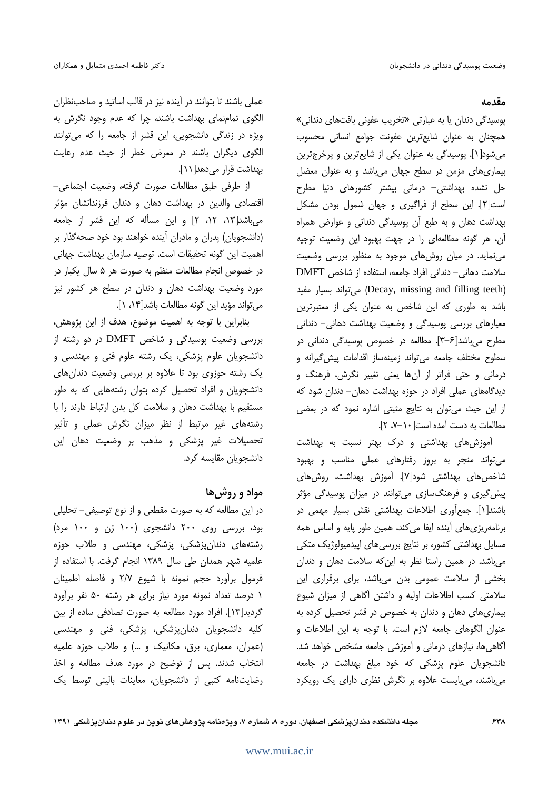#### مقدمه

پوسیدگی دندان یا به عبارتی «تخریب عفونی بافتهای دندانی» همچنان به عنوان شایعترین عفونت جوامع انسانی محسوب می شود[۱]. یوسیدگی به عنوان یکی از شایع ترین و پرخرج ترین بیماری های مزمن در سطح جهان می باشد و به عنوان معضل حل نشده بهداشتی- درمانی بیشتر کشورهای دنیا مطرح است[٢]. این سطح از فراگیری و جهان شمول بودن مشکل بهداشت دهان و به طبع آن یوسیدگی دندانی و عوارض همراه آن، هر گونه مطالعهای را در جهت بهبود این وضعیت توجیه می نماید. در میان روش های موجود به منظور بررسی وضعیت سلامت دهانی – دندانی افراد جامعه، استفاده از شاخص DMFT (Decay, missing and filling teeth) می تواند بسیار مفید باشد به طوری که این شاخص به عنوان یکی از معتبرترین معیارهای بررسی یوسیدگی و وضعیت بهداشت دهانی- دندانی مطرح می باشد[۶-۳]. مطالعه در خصوص پوسیدگی دندانی در سطوح مختلف جامعه مىتواند زمينهساز اقدامات پيش گيرانه و درمانی و حتی فراتر از آنها یعنی تغییر نگرش، فرهنگ و دیدگامهای عملی افراد در حوزه بهداشت دهان– دندان شود که از این حیث می توان به نتایج مثبتی اشاره نمود که در بعضی مطالعات به دست آمده است - ۰-۷، ۲].

آموزشهای بهداشتی و درک بهتر نسبت به بهداشت می تواند منجر به بروز رفتارهای عملی مناسب و بهبود شاخصهای بهداشتی شود[۷]. آموزش بهداشت، روش های پیش گیری و فرهنگ سازی می توانند در میزان پوسیدگی مؤثر باشند[۱]. جمعأوري اطلاعات بهداشتي نقش بسيار مهمي در برنامهریزی های آینده ایفا می کند، همین طور پایه و اساس همه مسایل بهداشتی کشور، بر نتایج بررسی های اپیدمیولوژیک متکی می باشد. در همین راستا نظر به این که سلامت دهان و دندان بخشی از سلامت عمومی بدن میباشد، برای برقراری این سلامتی کسب اطلاعات اولیه و داشتن آگاهی از میزان شیوع بیماری های دهان و دندان به خصوص در قشر تحصیل کرده به عنوان الگوهای جامعه لازم است. با توجه به این اطلاعات و آگاهیها، نیازهای درمانی و آموزشی جامعه مشخص خواهد شد. دانشجویان علوم پزشکی که خود مبلغ بهداشت در جامعه میباشند، میبایست علاوه بر نگرش نظری دارای یک رویکرد

عملی باشند تا بتوانند در آینده نیز در قالب اساتید و صاحبنظران الگوی تمامنمای بهداشت باشند، چرا که عدم وجود نگرش به ویژه در زندگی دانشجویی، این قشر از جامعه را که می توانند الگوی دیگران باشند در معرض خطر از حیث عدم رعایت بهداشت قرار می دهد[ ١١].

از طرفي طبق مطالعات صورت گرفته، وضعيت اجتماعي-اقتصادی والدین در بهداشت دهان و دندان فرزندانشان مؤثر میباشد[۱۳، ۱۲، ۲] و این مسأله که این قشر از جامعه (دانشجویان) پدران و مادران آینده خواهند بود خود صحهگذار بر اهميت اين گونه تحقيقات است. توصيه سازمان بهداشت جهاني در خصوص انجام مطالعات منظم به صورت هر ۵ سال یکبار در مورد وضعیت بهداشت دهان و دندان در سطح هر کشور نیز مي تواند مؤيد اين گونه مطالعات باشد[١٤، ١].

بنابراین با توجه به اهمیت موضوع، هدف از این پژوهش، بررسی وضعیت پوسیدگی و شاخص DMFT در دو رشته از دانشجویان علوم پزشکی، یک رشته علوم فنی و مهندسی و یک رشته حوزوی بود تا علاوه بر بررسی وضعیت دندانهای دانشجویان و افراد تحصیل کرده بتوان رشتههایی که به طور مستقیم با بهداشت دهان و سلامت کل بدن ارتباط دارند را با رشتههای غیر مرتبط از نظر میزان نگرش عملی و تأثیر تحصیلات غیر پزشکی و مذهب بر وضعیت دهان این دانشجويان مقايسه كرد.

### مواد و روش ها

در این مطالعه که به صورت مقطعی و از نوع توصیفی– تحلیلی بود، بررسی روی ۲۰۰ دانشجوی (۱۰۰ زن و ۱۰۰ مرد) رشتههای دندانپزشکی، پزشکی، مهندسی و طلاب حوزه علمیه شهر همدان طی سال ۱۳۸۹ انجام گرفت. با استفاده از فرمول برآورد حجم نمونه با شيوع ٢/٧ و فاصله اطمينان ١ درصد تعداد نمونه مورد نياز براى هر رشته ۵۰ نفر برآورد گردید[۱۳]. افراد مورد مطالعه به صورت تصادفی ساده از بین کلیه دانشجویان دندانپزشکی، پزشکی، فنی و مهندسی (عمران، معماری، برق، مکانیک و ...) و طلاب حوزه علمیه انتخاب شدند. پس از توضیح در مورد هدف مطالعه و اخذ رضایتنامه کتبی از دانشجویان، معاینات بالینی توسط یک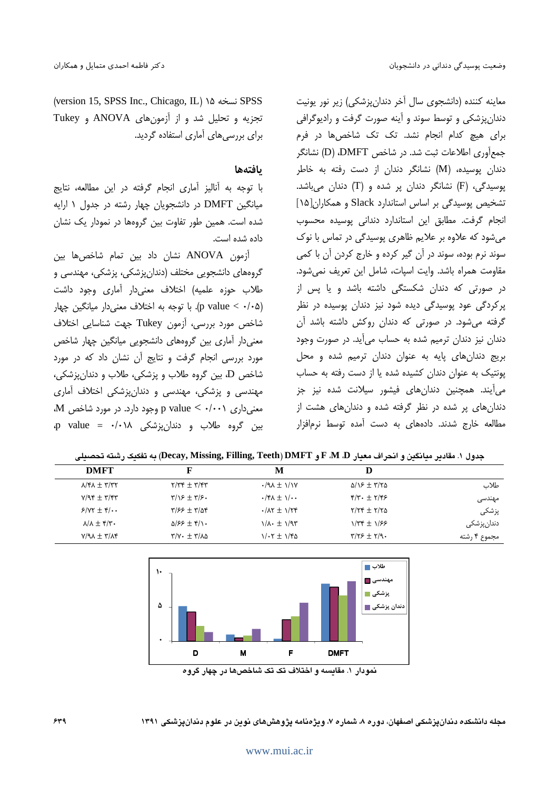(version 15, SPSS Inc., Chicago, IL) ١٥ نسخه ١٥ (Version 15, SPSS تجزیه و تحلیل شد و از آزمون های ANOVA و Tukey برای بررسیهای آماری استفاده گردید.

#### بافتهها

با توجه به آناليز آماري انجام گرفته در اين مطالعه، نتايج میانگین DMFT در دانشجویان چهار رشته در جدول ۱ ارایه شده است. همین طور تفاوت بین گروهها در نمودار یک نشان داده شده است.

آزمون ANOVA نشان داد بين تمام شاخص ها بين گروههای دانشجویی مختلف (دندان پزشکی، پزشکی، مهندسی و طلاب حوزه علميه) اختلاف معنىدار آمارى وجود داشت (p value < ·/·۵). با توجه به اختلاف معنیدار میانگین چهار شاخص مورد بررسی، آزمون Tukey جهت شناسایی اختلاف معنیدار آماری بین گروههای دانشجویی میانگین چهار شاخص مورد بررسی انجام گرفت و نتایج آن نشان داد که در مورد شاخص D، بين گروه طلاب و پزشكي، طلاب و دندان نشكي، مهندسی و پزشکی، مهندسی و دندان،پزشکی اختلاف آماری M معنی داری p value < ۰/۰۰۱ وجود دارد. در مورد شاخص بين گروه طلاب و دندان يزشكي p value = ۰/۰۱۸ معاينه كننده (دانشجوي سال آخر دندان يزشكي) زير نور يونيت دندان پزشکی و توسط سوند و آینه صورت گرفت و رادیوگرافی برای هیچ کدام انجام نشد. تک تک شاخصها در فرم جمع آوري اطلاعات ثبت شد. در شاخص DMFT، (D) نشانگر دندان یوسیده، (M) نشانگر دندان از دست رفته به خاطر پوسیدگی، (F) نشانگر دندان پر شده و (T) دندان میباشد. تشخیص پوسیدگی بر اساس استاندارد Slack و همکاران[۱۵] انجام گرفت. مطابق این استاندارد دندانی پوسیده محسوب می شود که علاوه بر علایم ظاهری پوسیدگی در تماس با نوک سوند نرم بوده، سوند در آن گیر کرده و خارج کردن آن با کمی مقاومت همراه باشد. وايت اسپات، شامل اين تعريف نمى شود. در صورتی که دندان شکستگی داشته باشد و یا پس از پرکردگی عود پوسیدگی دیده شود نیز دندان پوسیده در نظر گرفته می شود. در صورتی که دندان روکش داشته باشد آن دندان نیز دندان ترمیم شده به حساب میآید. در صورت وجود بریج دندانهای پایه به عنوان دندان ترمیم شده و محل پونتیک به عنوان دندان کشیده شده یا از دست رفته به حساب می آیند. همچنین دندانهای فیشور سیلانت شده نیز جز دندانهای پر شده در نظر گرفته شده و دندانهای هشت از مطالعه خارج شدند. دادههای به دست آمده توسط نرمافزار

|                    | D                                                     | M                                                              | F                                                            | <b>DMFT</b>                                                           |
|--------------------|-------------------------------------------------------|----------------------------------------------------------------|--------------------------------------------------------------|-----------------------------------------------------------------------|
| طلاب               | $\Delta/\sqrt{2} \pm \sqrt{2} \Delta$                 | $\cdot$ /9 $\lambda \pm \frac{1}{10}$                          | $Y/\tau f + \tau'/f\tau$                                     | $\lambda$ $\uparrow$ $\lambda$ $\pm$ $\uparrow$ $\uparrow$ $\uparrow$ |
| مهندسی             | $\mathcal{F}/\mathcal{F}$ + $\mathcal{F}/\mathcal{F}$ | $\cdot$ /۴ $\Lambda$ $\pm$ $\Lambda$ / $\cdot$                 | $\Gamma/3$ + $\Gamma/5$ .                                    | $Y/9f + Y/6f$                                                         |
| پزشکی              | $Y/Yf \pm Y/YQ$                                       | $\cdot$ / $\Lambda$ $\tau$ $\pm$ $\Lambda$ / $\tau$ $\epsilon$ | $\frac{9}{2}$ = $\frac{1}{2}$                                | $5/5 + 1/4$                                                           |
| دندانپزشک <i>ی</i> | $1/\tau$ $\tau$ + $1/\tau$                            | $1/\lambda \cdot \pm 1/97$                                     | $\Delta$ /۶۶ + ۴/۱۰                                          | $\lambda/\lambda + \mathfrak{r}/\mathfrak{r}$ .                       |
| مجموع ۴ رشته       | $\mathbf{y}/\mathbf{y} \neq \mathbf{y}/\mathbf{y}$ .  | $1/\cdot 7 \pm 1/80$                                           | $\mathbf{r}/\mathbf{v}\cdot\mathbf{r}+\mathbf{r}/\mathbf{v}$ | $Y/9A + Y/AF$                                                         |
|                    |                                                       |                                                                |                                                              |                                                                       |





مجله دانشکده دندان پزشکی اصفهان، دوره ۸، شماره ۷، ویژهنامه پژوهش های نوین در علوم دندان پزشکی ۱۳۹۱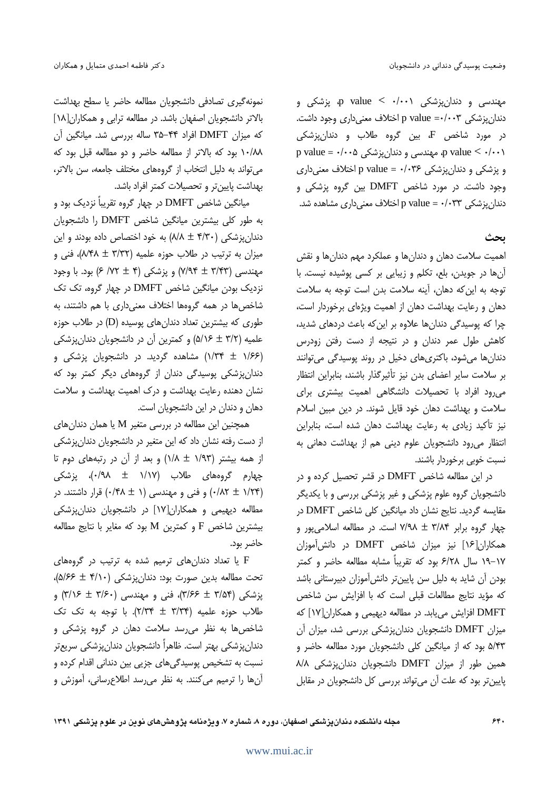مهندسی و دندانِیزشکی p value < ۰/۰۰۱ میزشکی و دندان پزشکی p value =-/۰۰۳ اختلاف معنیداری وجود داشت. در مورد شاخص F، بین گروه طلاب و دندانپزشکی p value <  $\cdot/\cdot\cdot$ ۵ مهندسی و دندان پزشکی ه $\text{value} < \cdot/\cdot\cdot$ و پزشکي و دندان پزشکي p value = ۰/۰۳۶ اختلاف معنی دارې وجود داشت. در مورد شاخص DMFT بين گروه پزشكى و دندان پزشکی p value = ۰/۰۳۳ اختلاف معنیداری مشاهده شد.

ىحث

اهمیت سلامت دهان و دندانها و عملکرد مهم دندانها و نقش آنها در جویدن، بلع، تکلم و زیبایی بر کسی پوشیده نیست. با توجه به این که دهان، آینه سلامت بدن است توجه به سلامت دهان و رعایت بهداشت دهان از اهمیت ویژهای برخوردار است، چرا که پوسیدگی دندانها علاوه بر این که باعث دردهای شدید، کاهش طول عمر دندان و در نتیجه از دست رفتن زودرس دندانها می شود، باکتریهای دخیل در روند پوسیدگی می توانند بر سلامت سایر اعضای بدن نیز تأثیرگذار باشند، بنابراین انتظار می رود افراد با تحصیلات دانشگاهی اهمیت بیشتری برای سلامت و بهداشت دهان خود قایل شوند. در دین مبین اسلام نیز تأکید زیادی به رعایت بهداشت دهان شده است، بنابراین انتظار می رود دانشجویان علوم دینی هم از بهداشت دهانی به نسبت خوبی برخوردار باشند.

در این مطالعه شاخص DMFT در قشر تحصیل کرده و در دانشجویان گروه علوم پزشکی و غیر پزشکی بررسی و با یکدیگر مقایسه گردید. نتایج نشان داد میانگین کلی شاخص DMFT در چهار گروه برابر ۳/۸۴ ± ۷/۹۸ است. در مطالعه اسلامی یور و همکاران[۱۶] نیز میزان شاخص DMFT در دانش آموزان ۱۷–۱۹ سال ۶/۲۸ بود که تقریباً مشابه مطالعه حاضر و کمتر بودن آن شاید به دلیل سن پایینتر دانش آموزان دبیرستانی باشد كه مؤيد نتايج مطالعات قبلي است كه با افزايش سن شاخص DMFT افزایش می یابد. در مطالعه دیهیمی و همکاران[۱۷] که میزان DMFT دانشجویان دندان پزشکی بررسی شد، میزان آن ۵/۴۳ بود که از میانگین کلی دانشجویان مورد مطالعه حاضر و همین طور از میزان DMFT دانشجویان دندانپزشکی ۸/۸ پایین تر بود که علت آن می تواند بررسی کل دانشجویان در مقابل

نمونه گیری تصادفی دانشجویان مطالعه حاضر یا سطح بهداشت بالاتر دانشجویان اصفهان باشد. در مطالعه ترابی و همکاران[۱۸] که میزان DMFT افراد ۴۴–۳۵ ساله بررسی شد. میانگین آن ١٠/٨٨ بود كه بالاتر از مطالعه حاضر و دو مطالعه قبل بود كه می تواند به دلیل انتخاب از گروههای مختلف جامعه، سن بالاتر، بهداشت پایینتر و تحصیلات کمتر افراد باشد.

میانگین شاخص DMFT در چهار گروه تقریباً نزدیک بود و به طور كلي بيشترين ميانگين شاخص DMFT را دانشجويان دندانپزشکی (۴/۳۰ = ۸/۸) به خود اختصاص داده بودند و این میزان به ترتیب در طلاب حوزه علمیه (۳/۳۲ ± ۸/۴۸)، فنی و مهندسی (۳/۴۳ ± ۷/۹۴) و پزشکی (۴ ± ۷۲/ ۶) بود. با وجود نزدیک بودن میانگین شاخص DMFT در چهار گروه، تک تک شاخصها در همه گروهها اختلاف معنیداری با هم داشتند، به طوری که بیشترین تعداد دندانهای یوسیده (D) در طلاب حوزه علمیه (٣/٢ ± ٥/١۶) و کمترین آن در دانشجویان دندانپزشکی (۱/۳۴ ± ۱/۶۶) مشاهده گردید. در دانشجویان پزشکی و دندانپزشکی پوسیدگی دندان از گروههای دیگر کمتر بود که نشان دهنده رعایت بهداشت و درک اهمیت بهداشت و سلامت دهان و دندان در این دانشجویان است.

همچنین این مطالعه در بررسی متغیر M یا همان دندانهای از دست رفته نشان داد که این متغیر در دانشجویان دندان پزشکی از همه بیشتر (۱/۹۳ ± ۱/۸) و بعد از آن در رتبههای دوم تا چهارم گروههای طلاب (۱/۱۷ ± ۰/۹۸)، پزشکی (۰/۲۴ ± ۰/۲۴) و فنی و مهندسی (۱ ± ۰/۴۸) قرار داشتند. در مطالعه دیهیمی و همکاران[۱۷] در دانشجویان دندان پزشکی بیشترین شاخص F و کمترین M بود که مغایر با نتایج مطالعه حاضر بود.

E یا تعداد دندانهای ترمیم شده به ترتیب در گروههای تحت مطالعه بدين صورت بود: دندان پزشكى (۵/۶۶ ± ۵/۶۶)، پزشکی (۳/۵۴ ± ۳/۶۶)، فنی و مهندسی (۳/۶۰ ± ۳/۱۶) و طلاب حوزه علميه (٣/٣۴ ± ٢/٣۴). با توجه به تک تک شاخصها به نظر می رسد سلامت دهان در گروه پزشکی و دندانپزشکی بهتر است. ظاهراً دانشجویان دندانپزشکی سریعتر نسبت به تشخیص پوسیدگیهای جزیی بین دندانی اقدام کرده و آنها را ترمیم میکنند. به نظر میرسد اطلاعرسانی، آموزش و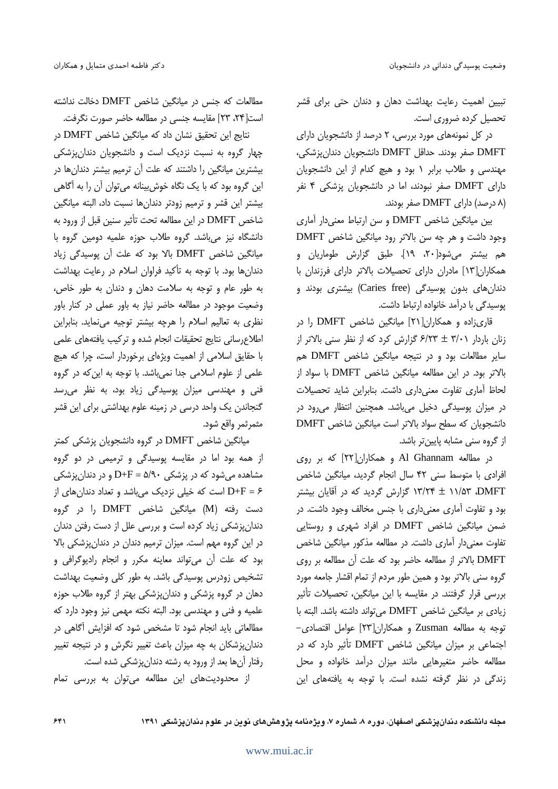تبیین اهمیت رعایت بهداشت دهان و دندان حتی برای قشر تحصیل کرده ضروری است.

در کل نمونههای مورد بررسی، ۲ درصد از دانشجویان دارای DMFT صفر بودند. حداقل DMFT دانشجويان دندان پزشكى، مهندسی و طلاب برابر ۱ بود و هیچ کدام از این دانشجویان دارای DMFT صفر نبودند، اما در دانشجویان پزشکی ۴ نفر (۸ درصد) دارای DMFT صفر بودند.

بین میانگین شاخص DMFT و سن ارتباط معنیدار اماری وجود داشت و هر چه سن بالاتر رود میانگین شاخص DMFT هم بیشتر میشود[۲۰، ۱۹]. طبق گزارش طوماریان و همکاران[۱۳] مادران دارای تحصیلات بالاتر دارای فرزندان با دندانهای بدون پوسیدگی (Caries free) بیشتری بودند و یوسیدگی با درآمد خانواده ارتباط داشت.

قاریزاده و همکاران[۲۱] میانگین شاخص DMFT را در زنان باردار ۳/۰۱ ± ۶/۲۳ گزارش کرد که از نظر سنی بالاتر از سایر مطالعات بود و در نتیجه میانگین شاخص DMFT هم بالاتر بود. در این مطالعه میانگین شاخص DMFT با سواد از لحاظ آماری تفاوت معنی داری داشت. بنابراین شاید تحصیلات در میزان پوسیدگی دخیل میباشد. همچنین انتظار می رود در دانشجویان که سطح سواد بالاتر است میانگین شاخص DMFT از گروه سنی مشابه پایینتر باشد.

در مطالعه Al Ghannam و همکاران[۲۲] که بر روی افرادی با متوسط سنی ۴۲ سال انجام گردید، میانگین شاخص DMFT ۱۱/۵۳ تارش گردید که در آقایان بیشتر (C) بود و تفاوت آماری معنیداری با جنس مخالف وجود داشت. در ضمن میانگین شاخص DMFT در افراد شهری و روستایی تفاوت معنیدار آماری داشت. در مطالعه مذکور میانگین شاخص DMFT بالاتر از مطالعه حاضر بود که علت آن مطالعه بر روی گروه سنی بالاتر بود و همین طور مردم از تمام اقشار جامعه مورد بررسی قرار گرفتند. در مقایسه با این میانگین، تحصیلات تأثیر زيادى بر ميانگين شاخص DMFT مى تواند داشته باشد. البته با توجه به مطالعه Zusman و همكاران[٢٣] عوامل اقتصادى-اجتماعی بر میزان میانگین شاخص DMFT تأثیر دارد که در مطالعه حاضر متغیرهایی مانند میزان درآمد خانواده و محل زندگی در نظر گرفته نشده است. با توجه به یافتههای این

مطالعات که جنس در میانگین شاخص DMFT دخالت نداشته است[۲۴، ۲۳] مقایسه جنسی در مطالعه حاضر صورت نگرفت.

نتايج اين تحقيق نشان داد كه ميانگين شاخص DMFT در چهار گروه به نسبت نزدیک است و دانشجویان دندانپزشکی بیشترین میانگین را داشتند که علت آن ترمیم بیشتر دندانها در این گروه بود که با یک نگاه خوش بینانه میتوان آن را به آگاهی بیشتر این قشر و ترمیم زودتر دندانها نسبت داد، البته میانگین شاخص DMFT در این مطالعه تحت تأثیر سنین قبل از ورود به دانشگاه نیز میباشد. گروه طلاب حوزه علمیه دومین گروه با میانگین شاخص DMFT بالا بود که علت آن پوسیدگی زیاد دندانها بود. با توجه به تأكيد فراوان اسلام در رعايت بهداشت به طور عام و توجه به سلامت دهان و دندان به طور خاص، وضعیت موجود در مطالعه حاضر نیاز به باور عملی در کنار باور نظری به تعالیم اسلام را هرچه بیشتر توجیه می نماید. بنابراین اطلاع رسانی نتایج تحقیقات انجام شده و ترکیب یافتههای علمی با حقایق اسلامی از اهمیت ویژهای برخوردار است، چرا که هیچ علمی از علوم اسلامی جدا نمیباشد. با توجه به این که در گروه فنی و مهندسی میزان پوسیدگی زیاد بود، به نظر میرسد گنجاندن یک واحد درسی در زمینه علوم بهداشتی برای این قشر مثمرثمر واقع شود.

میانگین شاخص DMFT در گروه دانشجویان پزشکی کمتر از همه بود اما در مقایسه پوسیدگی و ترمیمی در دو گروه مشاهده میشود که در پزشکی ۵/۹۰ = D+F و در دندانپزشکی ۶ = D+F است که خیلی نزدیک میباشد و تعداد دندانهای از دست رفته (M) میانگین شاخص DMFT را در گروه دندانپزشکی زیاد کرده است و بررسی علل از دست رفتن دندان در این گروه مهم است. میزان ترمیم دندان در دندانپزشکی بالا بود که علت آن می تواند معاینه مکرر و انجام رادیوگرافی و تشخیص زودرس پوسیدگی باشد. به طور کلی وضعیت بهداشت دهان در گروه پزشکی و دندان پزشکی بهتر از گروه طلاب حوزه علميه و فني و مهندسي بود. البته نكته مهمي نيز وجود دارد كه مطالعاتی باید انجام شود تا مشخص شود که افزایش آگاهی در دندانپزشکان به چه میزان باعث تغییر نگرش و در نتیجه تغییر رفتار آنها بعد از ورود به رشته دندان پزشکی شده است.

از محدودیتهای این مطالعه میتوان به بررسی تمام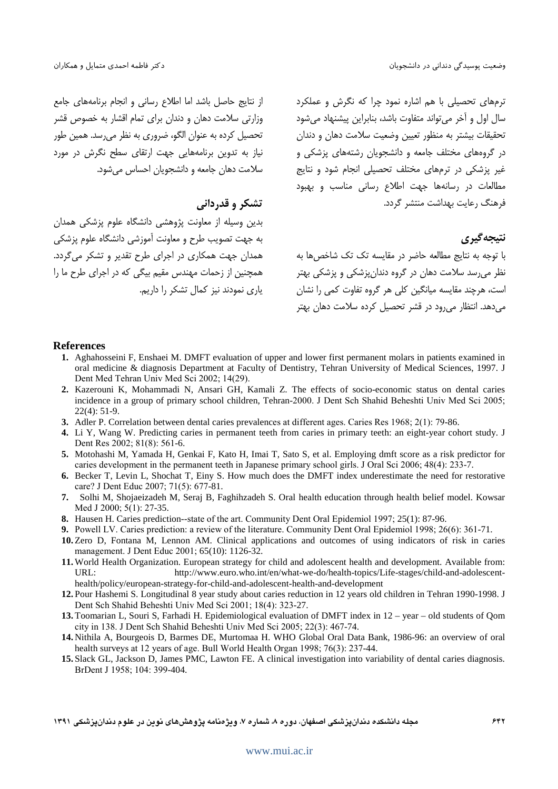از نتایج حاصل باشد اما اطلاع رسانی و انجام برنامههای جامع وزارتی سلامت دهان و دندان برای تمام اقشار به خصوص قشر تحصیل کرده به عنوان الگو، ضروری به نظر می رسد. همین طور نیاز به تدوین برنامههایی جهت ارتقای سطح نگرش در مورد سلامت دهان جامعه و دانشجویان احساس می شود.

### تشکر و قدردانی

بدین وسیله از معاونت پژوهشی دانشگاه علوم پزشکی همدان به جهت تصویب طرح و معاونت آموزشی دانشگاه علوم پزشکی همدان جهت همکاری در اجرای طرح تقدیر و تشکر می گردد. همچنین از زحمات مهندس مقیم بیگی که در اجرای طرح ما را یاری نمودند نیز کمال تشکر را داریم. ترمهای تحصیلی با هم اشاره نمود چرا که نگرش و عملکرد سال اول و آخر می تواند متفاوت باشد، بنابراین پیشنهاد می شود تحقیقات بیشتر به منظور تعیین وضعیت سلامت دهان و دندان در گروههای مختلف جامعه و دانشجویان رشتههای پزشکی و غیر پزشکی در ترمهای مختلف تحصیلی انجام شود و نتایج .<br>مطالعات در رسانهها جهت اطلاع رسانی مناسب و بهبود فرهنگ رعایت بهداشت منتشر گردد.

نتيجه گيري

با توجه به نتایج مطالعه حاضر در مقایسه تک تک شاخص ها به .<br>نظر می رسد سلامت دهان در گروه دندان پزشکی و پزشکی بهتر است، هرچند مقایسه میانگین کلی هر گروه تفاوت کمی را نشان می دهد. انتظار می رود در قشر تحصیل کرده سلامت دهان بهتر

#### **References**

- 1. Aghahosseini F, Enshaei M. DMFT evaluation of upper and lower first permanent molars in patients examined in oral medicine & diagnosis Department at Faculty of Dentistry, Tehran University of Medical Sciences, 1997. J Dent Med Tehran Univ Med Sci 2002; 14(29).
- 2. Kazerouni K, Mohammadi N, Ansari GH, Kamali Z. The effects of socio-economic status on dental caries incidence in a group of primary school children, Tehran-2000. J Dent Sch Shahid Beheshti Univ Med Sci 2005;  $22(4): 51-9.$
- 3. Adler P. Correlation between dental caries prevalences at different ages. Caries Res 1968; 2(1): 79-86.
- 4. Li Y, Wang W. Predicting caries in permanent teeth from caries in primary teeth: an eight-year cohort study. J Dent Res 2002; 81(8): 561-6.
- 5. Motohashi M, Yamada H, Genkai F, Kato H, Imai T, Sato S, et al. Employing dmft score as a risk predictor for caries development in the permanent teeth in Japanese primary school girls. J Oral Sci 2006; 48(4): 233-7.
- 6. Becker T, Levin L, Shochat T, Einy S. How much does the DMFT index underestimate the need for restorative care? J Dent Educ 2007; 71(5): 677-81.
- 7. Solhi M, Shojaeizadeh M, Seraj B, Faghihzadeh S. Oral health education through health belief model. Kowsar Med J 2000; 5(1): 27-35.
- 8. Hausen H. Caries prediction-state of the art. Community Dent Oral Epidemiol 1997; 25(1): 87-96.
- 9. Powell LV. Caries prediction: a review of the literature. Community Dent Oral Epidemiol 1998; 26(6): 361-71.
- 10. Zero D, Fontana M, Lennon AM. Clinical applications and outcomes of using indicators of risk in caries management. J Dent Educ 2001; 65(10): 1126-32.
- 11. World Health Organization. European strategy for child and adolescent health and development. Available from: URL: http://www.euro.who.int/en/what-we-do/health-topics/Life-stages/child-and-adolescenthealth/policy/european-strategy-for-child-and-adolescent-health-and-development
- 12. Pour Hashemi S. Longitudinal 8 year study about caries reduction in 12 years old children in Tehran 1990-1998. J Dent Sch Shahid Beheshti Univ Med Sci 2001; 18(4): 323-27.
- 13. Toomarian L, Souri S, Farhadi H. Epidemiological evaluation of DMFT index in 12 year old students of Qom city in 138. J Dent Sch Shahid Beheshti Univ Med Sci 2005; 22(3): 467-74.
- 14. Nithila A, Bourgeois D, Barmes DE, Murtomaa H. WHO Global Oral Data Bank, 1986-96: an overview of oral health surveys at 12 years of age. Bull World Health Organ 1998; 76(3): 237-44.
- 15. Slack GL, Jackson D, James PMC, Lawton FE. A clinical investigation into variability of dental caries diagnosis. BrDent J 1958; 104: 399-404.

مجله دانشکده دندانپزشکی اصفهان، دوره ۸، شماره ۷، ویژهنامه پژوهشهای نوین در علوم دندانپزشکی ۱۳۹۱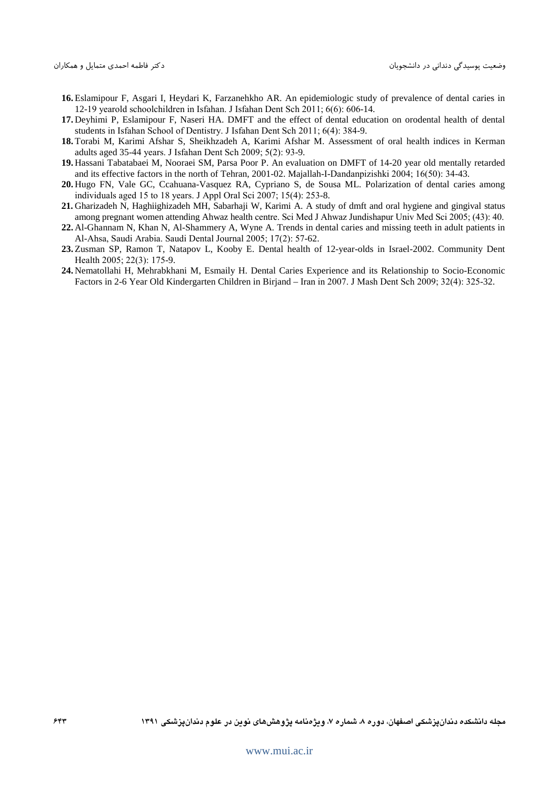- **16.** Eslamipour F, Asgari I, Heydari K, Farzanehkho AR. An epidemiologic study of prevalence of dental caries in 12-19 yearold schoolchildren in Isfahan. J Isfahan Dent Sch 2011; 6(6): 606-14.
- **17.** Deyhimi P, Eslamipour F, Naseri HA. DMFT and the effect of dental education on orodental health of dental students in Isfahan School of Dentistry. J Isfahan Dent Sch 2011; 6(4): 384-9.
- **18.** Torabi M, Karimi Afshar S, Sheikhzadeh A, Karimi Afshar M. Assessment of oral health indices in Kerman adults aged 35-44 years. J Isfahan Dent Sch 2009; 5(2): 93-9.
- **19.** Hassani Tabatabaei M, Nooraei SM, Parsa Poor P. An evaluation on DMFT of 14-20 year old mentally retarded and its effective factors in the north of Tehran, 2001-02. Majallah-I-Dandanpizishki 2004; 16(50): 34-43.
- **20.** Hugo FN, Vale GC, Ccahuana-Vasquez RA, Cypriano S, de Sousa ML. Polarization of dental caries among individuals aged 15 to 18 years. J Appl Oral Sci 2007; 15(4): 253-8.
- **21.** Gharizadeh N, Haghiighizadeh MH, Sabarhaji W, Karimi A. A study of dmft and oral hygiene and gingival status among pregnant women attending Ahwaz health centre. Sci Med J Ahwaz Jundishapur Univ Med Sci 2005; (43): 40.
- **22.** Al-Ghannam N, Khan N, Al-Shammery A, Wyne A. Trends in dental caries and missing teeth in adult patients in Al-Ahsa, Saudi Arabia. Saudi Dental Journal 2005; 17(2): 57-62.
- **23.** Zusman SP, Ramon T, Natapov L, Kooby E. Dental health of 12-year-olds in Israel-2002. Community Dent Health 2005; 22(3): 175-9.
- **24.** Nematollahi H, Mehrabkhani M, Esmaily H. Dental Caries Experience and its Relationship to Socio-Economic Factors in 2-6 Year Old Kindergarten Children in Birjand – Iran in 2007. J Mash Dent Sch 2009; 32(4): 325-32.